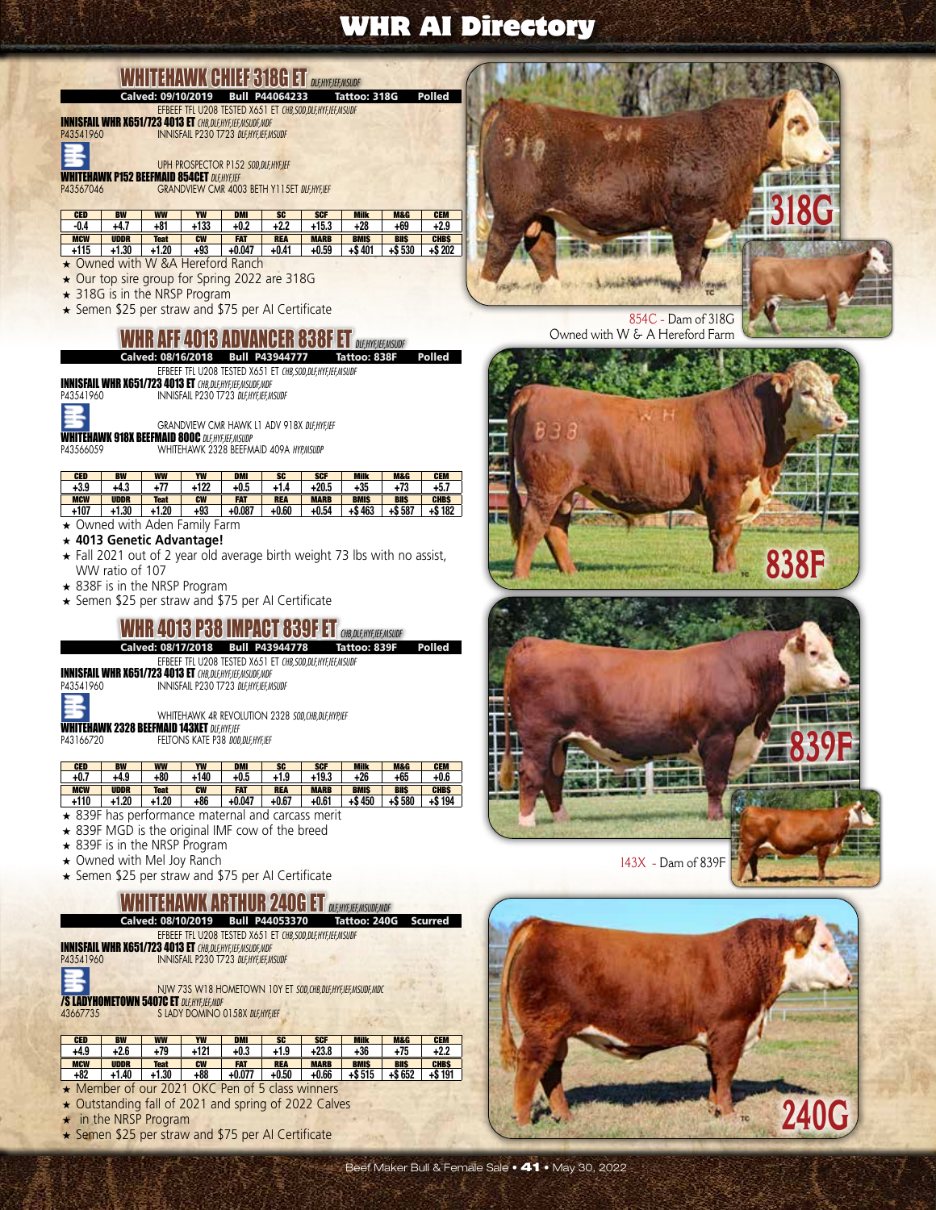# WHITEHAWK CHIEF 316 FOR 20 *DLF,HYF,IEF,MSUDF*<br>Calved: 09/10/2019 Bull P44064233 Tattoo: 318G Polled

EFBEEF TFL U208 TESTED X651 ET *CHB,SOD,DLF,HYF,IEF,MSUDF* INNISFAIL WHR X651/723 4013 ET *CHB,DLF,HYF,IEF,MSUDF,MDF*

P43541960 INNISFAIL P230 T723 *DLF,HYF,IEF,MSUDF*

UPH PROSPECTOR P152 *SOD,DLF,HYF,IEF* **WHITEHAWK P152 BEEFMAID 854CET** DLF,HYF,IEF<br>P43567046 GRANDVIEW CMR 400

**GRANDVIEW CMR 4003 BETH Y115ET DLF,HYF,IEF** 

| <b>CED</b> | <b>BW</b>   | <b>WW</b> | YW        | <b>DMI</b> | SG <sub></sub> | <b>SCF</b>  | <b>Milk</b> | <b>M&amp;G</b> | <b>CEM</b>  |
|------------|-------------|-----------|-----------|------------|----------------|-------------|-------------|----------------|-------------|
| -0.4       | +4.7        | $+81$     | +133      | $+0.2$     | $+2.2$         | +15.3       | +28         | +69            | $+2.9$      |
| <b>MCW</b> | <b>UDDR</b> | Teat      | <b>CW</b> | <b>FAT</b> | <b>REA</b>     | <b>MARB</b> | <b>BMIS</b> | <b>BIIS</b>    | <b>CHBS</b> |
| +115       | +1.30       | 1.20      | +93       | $+0.047$   | $+0.41$        | +0.59       | $+ $40'$    | 530<br>+\$     | +\$ 202     |

- ★ Owned with W &A Hereford Ranch
- ★ Our top sire group for Spring 2022 are 318G
- ★ 318G is in the NRSP Program
- ★ Semen \$25 per straw and \$75 per AI Certificate

#### WHR AFF 4013 ADVANGER 838F ET *DLEHYFJEEAISUDF*

Calved: 08/16/2018 Bull P43944777 Tattoo: 838F

EFBEEF TFL U208 TESTED X651 ET *CHB,SOD,DLF,HYF,IEF,MSUDF*

INNISFAIL WHR X651/723 4013 ET *CHB,DLF,HYF,IEF,MSUDF,MDF* P43541960 INNISFAIL P230 T723 *DLF,HYF,IEF,MSUDF*



GRANDVIEW CMR HAWK L1 ADV 918X *DLF,HYF,IEF*

**WHITEHAWK 918X BEEFMAID 800C** *DLF,HYF,IEF,MSUDP*<br>P43566059 WHITEHAWK 2328 BEEFM P43566059 WHITEHAWK 2328 BEEFMAID 409A *HYP,MSUDP*

| <b>CED</b> | <b>BW</b>   | <b>WW</b>   | YW        | <b>DMI</b> | SG <sub></sub> | <b>SCF</b>  | <b>Milk</b> | <b>M&amp;G</b> | <b>CEM</b>  |
|------------|-------------|-------------|-----------|------------|----------------|-------------|-------------|----------------|-------------|
| +3.9       | +4.3        | 77ء         | +122      | $+0.5$     |                | $+20.5$     | $+35$       | +73            | $+5.7$      |
| <b>MCW</b> | <b>UDDR</b> | <b>Teat</b> | <b>CW</b> | <b>FAT</b> | <b>REA</b>     | <b>MARB</b> | <b>BMIS</b> | <b>BIIS</b>    | <b>CHBS</b> |
| $+107$     | 1.30        | +1.20       | $+93$     | $+0.087$   | +0.60          | $+0.54$     | 463<br>+\$  | $+ $587$       | +\$182      |

★ Owned with Aden Family Farm

- ★ **4013 Genetic Advantage!**
- ★ Fall 2021 out of 2 year old average birth weight 73 lbs with no assist, WW ratio of 107
- ★ 838F is in the NRSP Program
- ★ Semen \$25 per straw and \$75 per AI Certificate

#### **WHR 4013 P38 IMPACT 839F ET** *CHB,DLE,HYF,FE,MSUDF*<br>Calved: 08/17/2018 Bull P43944778 Tattoo: 839F Calved: 08/17/2018 Bull P43944778

EFBEEF TFL U208 TESTED X651 ET *CHB,SOD,DLF,HYF,IEF,MSUDF*

INNISFAIL WHR X651/723 4013 ET *CHB,DLF,HYF,IEF,MSUDF,MDF* P43541960 INNISFAIL P230 T723 *DLF,HYF,IEF,MSUDF*

WHITEHAWK 4R REVOLUTION 2328 *SOD,CHB,DLF,HYP,IEF*

**WHITEHAWK 2328 BEEFMAID 143XET** DIEHYF, **P43166720 FELTONS KATE P38 DOD** P43166720 FELTONS KATE P38 *DOD,DLF,HYF,IEF*

| <b>CED</b> | <b>BW</b>   | <b>WW</b>   | YW        | <b>DMI</b> | <b>SC</b>  | <b>SCF</b>  | <b>Milk</b> | <b>M&amp;G</b> | <b>CEM</b>  |
|------------|-------------|-------------|-----------|------------|------------|-------------|-------------|----------------|-------------|
| $+0.7$     | +4.9        | +80         | +140      | +0.5       | +1.9       | +19.3       | +26         | +65            | $+0.6$      |
| <b>MCW</b> | <b>UDDR</b> | <b>Teat</b> | <b>CW</b> | <b>FAT</b> | <b>REA</b> | <b>MARB</b> | <b>BMIS</b> | <b>BIIS</b>    | <b>CHBS</b> |
|            |             |             |           |            |            |             |             |                |             |
| +110       | 1.20        | +1.20       | +86       | $+0.047$   | $+0.67$    | $+0.61$     | 450<br>+\$  | $+ $580$       | +\$ 194     |

- ★ 839F has performance maternal and carcass merit
- ★ 839F MGD is the original IMF cow of the breed
- ★ 839F is in the NRSP Program
- ★ Owned with Mel Joy Ranch
- ★ Semen \$25 per straw and \$75 per AI Certificate

# **ETAWK ARTHUR 240G ET** *DLF,HYF,IEF,MSUDF,MDF*<br>08/10/2019 Bull P44053370 Tattoo: 240G

Calved: 08/10/2019 Bull P44053370 Tattoo: 240G Scurred

EFBEEF TFL U208 TESTED X651 ET *CHB,SOD,DLF,HYF,IEF,MSUDF*

INNISFAIL WHR X651/723 4013 ET *CHB,DLF,HYF,IEF,MSUDF,MDF* P43541960 INNISFAIL P230 T723 *DLF,HYF,IEF,MSUDF*

NJW 73S W18 HOMETOWN 10Y ET *SOD,CHB,DLF,HYF,IEF,MSUDF,MDC* **/S LADYHOMETOWN 5407C ET** *DLF,HYF,IEF,MDF*<br>43667735<br>S LADY DOMINO C

**S LADY DOMINO 0158X DLFHYFIFF** 

| <b>CED</b> | <b>BW</b>   | <b>WW</b> | YW        | <b>DMI</b> | <b>SG</b>  | <b>SCF</b>  | <b>Milk</b> | <b>M&amp;G</b> | <b>CEM</b>  |
|------------|-------------|-----------|-----------|------------|------------|-------------|-------------|----------------|-------------|
| +4.9       | $+2.6$      | +79       | +121      | $+0.3$     | +1.9       | +23.8       | +36         | 75ء            | +2.2        |
|            |             |           |           |            |            |             |             |                |             |
| <b>MCW</b> | <b>UDDR</b> | Teat      | <b>CW</b> | <b>FAT</b> | <b>REA</b> | <b>MARB</b> | <b>BMIS</b> | <b>BIIS</b>    | <b>CHBS</b> |

- ★ Member of our 2021 OKC Pen of 5 class winners
- ★ Outstanding fall of 2021 and spring of 2022 Calves
- ★ in the NRSP Program
- ★ Semen \$25 per straw and \$75 per AI Certificate



854C - Dam of 318G Owned with W & A Hereford Farm





**240G**

TC.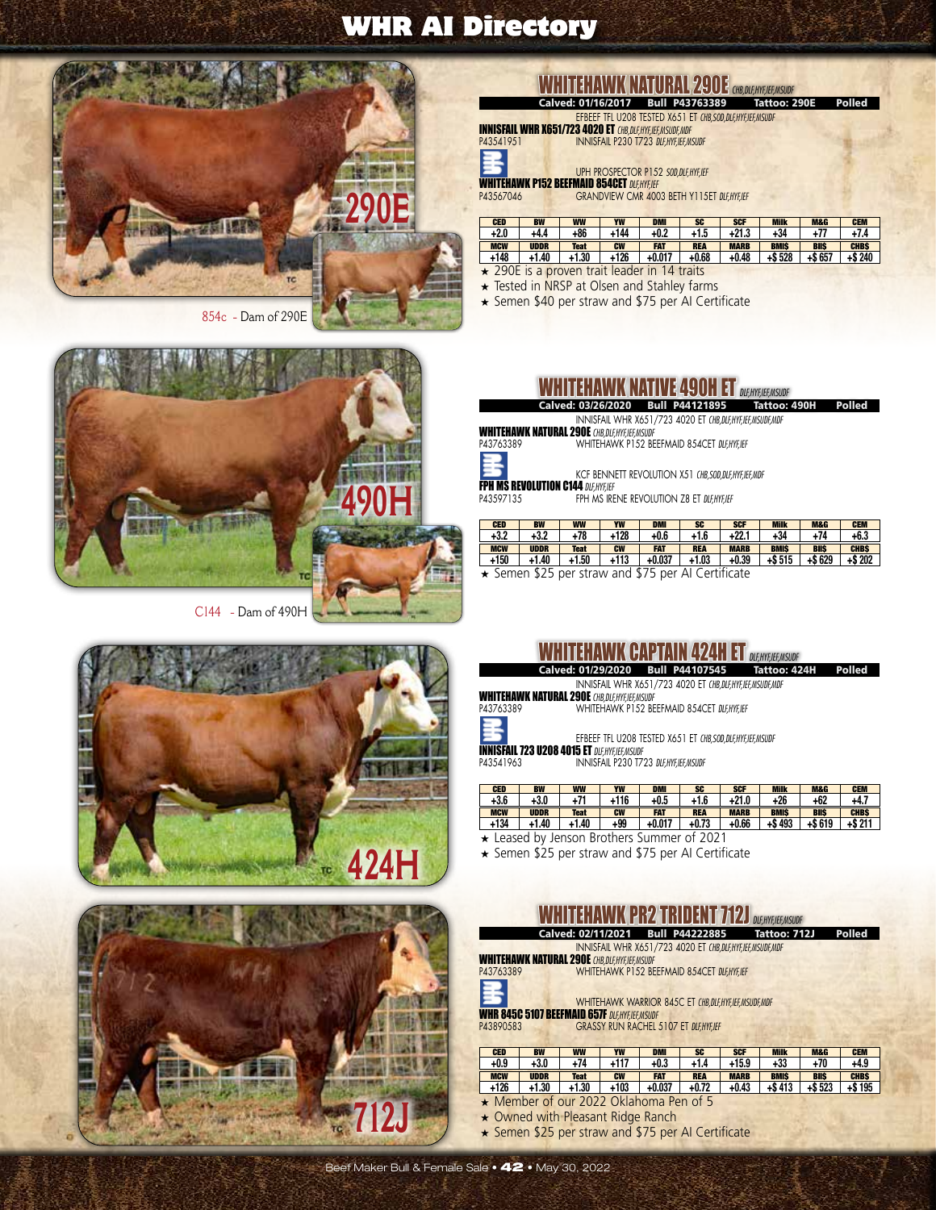

854c - Dam of 290E



C144 - Dam of 490H



**424H** ŢC.



# WHITEHAWK NATURAL 290E *CHB, DLF,HYF,HEF,MSUDF*<br>Calved: 01/16/2017 Bull P43763389 Tattoo: 290E

EFBEEF TFL U208 TESTED X651 ET *CHB,SOD,DLF,HYF,IEF,MSUDF* Calved: 01/16/2017 Bull P43763389

INNISFAIL WHR X651/723 4020 ET *CHB,DLF,HYF,IEF,MSUDF,MDF* P43541951 INNISFAIL P230 T723 *DLF,HYF,IEF,MSUDF*

UPH PROSPECTOR P152 *SOD,DLF,HYF,IEF*<br>WHITEHAWK P152 BEEFMAID 854CET *DLF,HYF,IEF* P43567046 GRANDVIEW CMR 4003 BETH Y115ET *DLF,HYF,IEF*

| <b>CED</b> | <b>BW</b> | <b>WW</b>   | YW        | <b>DMI</b> | <b>SC</b>  | <b>SCF</b>  | <b>Milk</b> | <b>M&amp;G</b> | <b>CEM</b>  |
|------------|-----------|-------------|-----------|------------|------------|-------------|-------------|----------------|-------------|
| $+2.0$     | +4.4      | 86ء         | +144      | $+0.2$     | +1.5       | $+21.3$     | $+34$       |                |             |
| <b>MCW</b> | UDDR      | <b>Teat</b> | <b>CW</b> | FAT        | <b>REA</b> | <b>MARB</b> | <b>BMIS</b> | <b>BIIS</b>    | <b>CHBS</b> |
| +148       | 1.40      | 1.30        | +126      | $+0.017$   | $+0.68$    | $+0.48$     | +\$ 528     | $+ $657$       | : 240<br>+S |

- ★ 290E is a proven trait leader in 14 traits
- ★ Tested in NRSP at Olsen and Stahley farms
- ★ Semen \$40 per straw and \$75 per AI Certificate

| <b>WHITEHAWK NATIVE 490H ET DLEHYEJEEANSUDE</b> |  |  |  |
|-------------------------------------------------|--|--|--|
|-------------------------------------------------|--|--|--|

INNISFAIL WHR X651/723 4020 ET *CHB,DLF,HYF,IEF,MSUDF,MDF* Calved: 03/26/2020 Bull P44121895 Tattoo: 490H Polled

WHITEHAWK NATURAL 290E *CHB,DLF,HYF,IEF,MSUDF* P43763389 WHITEHAWK P152 BEEFMAID 854CET *DLF,HYF,IEF*



**FPH MS REVOLUTION C144 DLF, HYF, IEF**<br>P43597135 FPH MS IRE FPH MS IRENE REVOLUTION Z8 ET DLF,HYF,IEF

| <b>CED</b> | <b>BW</b>   | <b>WW</b>   | YW        | <b>DMI</b> | <b>SC</b>  | <b>SCF</b>  | <b>Milk</b> | <b>M&amp;G</b> | <b>CEM</b>  |
|------------|-------------|-------------|-----------|------------|------------|-------------|-------------|----------------|-------------|
| +3.2       | $+3.2$      | $+78$       | +128      | +0.6       | $+1.6$     | $+22.1$     | $+34$       | $+74$          | $+6.3$      |
| <b>MCW</b> | <b>UDDR</b> | <b>Teat</b> | <b>CW</b> | FAT        | <b>REA</b> | <b>MARB</b> | <b>BMIS</b> | <b>BIIS</b>    | <b>CHBS</b> |
| +150       | $+1.40$     | +1.50       | +113      | $+0.037$   | +1.03      | +0.39       | +\$ 515     | $+ $629$       | $+ $202$    |

★ Semen \$25 per straw and \$75 per AI Certificate

WHITEHAWK CAPTAIN 424H ET

|                                                             | WY FELL LEFT ANYWR UTHE LEFT IN LEFT AT ILLE LODEHYEIGEMSUDE |           |                                       |            |                                                               |             |              |                |             |  |  |  |  |  |
|-------------------------------------------------------------|--------------------------------------------------------------|-----------|---------------------------------------|------------|---------------------------------------------------------------|-------------|--------------|----------------|-------------|--|--|--|--|--|
|                                                             | Calved: 01/29/2020 Bull P44107545<br>Polled<br>Tattoo: 424H  |           |                                       |            |                                                               |             |              |                |             |  |  |  |  |  |
| INNISFAIL WHR X651/723 4020 ET CHB.DLF.HYF.IEF.MSUDF.MDF    |                                                              |           |                                       |            |                                                               |             |              |                |             |  |  |  |  |  |
| <b>WHITEHAWK NATURAL 290E CHB, DLF, HYF, IEF, MSUDF</b>     |                                                              |           |                                       |            |                                                               |             |              |                |             |  |  |  |  |  |
| P43763389                                                   |                                                              |           |                                       |            | WHITEHAWK P152 BEEFMAID 854CET DLF, HYF, IEF                  |             |              |                |             |  |  |  |  |  |
| Ē<br><b>INNISFAIL 723 U208 4015 ET DLF, HYF, IEF, MSUDF</b> |                                                              |           |                                       |            | EFBEEF TFL U208 TESTED X651 ET CHB, SOD, DLF, HYF, IEF, MSUDF |             |              |                |             |  |  |  |  |  |
| P43541963                                                   |                                                              |           | INNISFAIL P230 T723 DLF.HYF.IEF.MSUDF |            |                                                               |             |              |                |             |  |  |  |  |  |
|                                                             |                                                              |           |                                       |            |                                                               |             |              |                |             |  |  |  |  |  |
| <b>CED</b>                                                  | <b>BW</b>                                                    | <b>WW</b> | YW                                    | <b>DMI</b> | <b>SC</b>                                                     | <b>SCF</b>  | <b>Milk</b>  | <b>M&amp;G</b> | <b>CEM</b>  |  |  |  |  |  |
| $+3.6$                                                      | $+3.0$                                                       | $+71$     | +116                                  | $+0.5$     | $+1.6$                                                        | $+21.0$     | $+26$        | $+62$          | $+4.7$      |  |  |  |  |  |
| <b>BACTAL</b>                                               | <b>IIDDD</b>                                                 | Tool      | <b>CHAI</b>                           | EAT        | <b>DEA</b>                                                    | <b>MADD</b> | <b>DESIC</b> | <b>DIIC</b>    | <b>CUDO</b> |  |  |  |  |  |

| .          | .           | .           | .         | .          | .          | .           |             | .           | .           |
|------------|-------------|-------------|-----------|------------|------------|-------------|-------------|-------------|-------------|
| <b>MCW</b> | <b>UDDR</b> | <b>Teat</b> | <b>CW</b> | <b>FAT</b> | <b>REA</b> | <b>MARB</b> | <b>BMIS</b> | <b>BIIS</b> | <b>CHBS</b> |
| +134       | $+1.40$     | $+1.40$     | $+99$     | $+0.017$   | $+0.73$    | $+0.66$     | $+$ \$493   | +\$619      | $+ $211$    |
|            |             |             |           |            |            |             |             |             |             |

★ Leased by Jenson Brothers Summer of 2021

★ Semen \$25 per straw and \$75 per AI Certificate

# **WHITEHAWK PR2 TRIDENT 712J** *DLENSIER,MSUDF*<br>Calved: 02/11/2021 Bull P44222885<br>Tattoo: 712J

Calved: 02/11/2021 Bull P44222885 Tattoo: 712J Polled

INNISFAIL WHR X651/723 4020 ET *CHB,DLF,HYF,IEF,MSUDF,MDF*

WHITEHAWK NATURAL 290E *CHB,DLF,HYF,IEF,MSUDF* P43763389 WHITEHAWK P152 BEEFMAID 854CET *DLF,HYF,IEF*

WHITEHAWK WARRIOR 845C ET *CHB,DLF,HYF,IEF,MSUDF,MDF*

WHR 845C 5107 BEEFMAID 657F *DLF,HYF,IEF,MSUDF* P43890583 GRASSY RUN RACHEL 5107 ET *DLF,HYF,IEF*

| <b>CED</b> | BW          | <b>WW</b>   | YW        | <b>DMI</b> | <b>SG</b>  | <b>SCF</b>  | <b>Milk</b> | <b>M&amp;G</b> | <b>CEM</b>  |
|------------|-------------|-------------|-----------|------------|------------|-------------|-------------|----------------|-------------|
| +0.9       | $+3.0$      | +74         | +117      | $+0.3$     | $+1.4$     | $+15.9$     | $+33$       | $+70$          | +4.9        |
| <b>MCW</b> | <b>UDDR</b> | <b>Teat</b> | <b>CW</b> | FAT        | <b>REA</b> | <b>MARB</b> | <b>BMIS</b> | <b>BIIS</b>    | <b>CHBS</b> |
| . 100      | - 4.90      | .4.90       | .409      | .0.027     | . ሰ 79     | .0.49       | .0.119      | . e coo        | 40 ه.       |

- **+126 +1.30 +1.30 +103 +0.037 +0.72 +0.43 +\$ 413 +\$ 523 +\$ 195** ★ Member of our 2022 Oklahoma Pen of 5
- ★ Owned with Pleasant Ridge Ranch
- ★ Semen \$25 per straw and \$75 per AI Certificate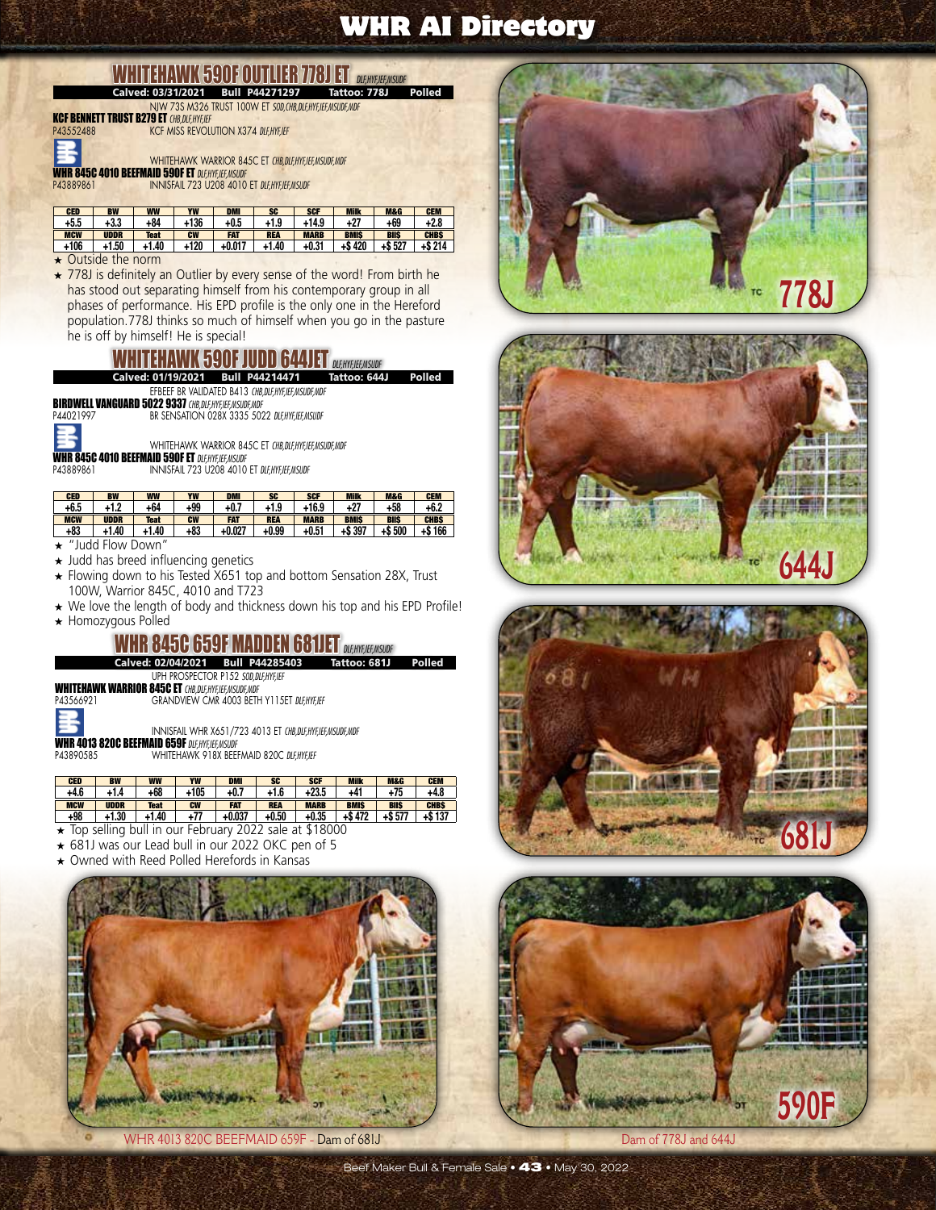#### **ENAWK 590F OUTLIER 778J ET** *DUERTEEMSUDF*<br>C 03/31/2021 Bull P44271297 Tattoo: 778J Polled Calved: 03/31/2021 Bull P44271297

NJW 73S M326 TRUST 100W ET *SOD,CHB,DLF,HYF,IEF,MSUDF,MDF* KCF BENNETT TRUST B279 ET *CHB,DLF,HYF,IEF* **KCF MISS REVOLUTION X374 DLF,HYF,IEF** WHITEHAWK WARRIOR 845C ET *CHB,DLF,HYF,IEF,MSUDF,MDF* WHR 845C 4010 BEEFMAID 590F ET *DLF,HYF,IEF,MSUDF* P43889861 INNISFAIL 723 U208 4010 ET *DLF,HYF,IEF,MSUDF*

| <b>CED</b> | <b>BW</b>   | <b>WW</b>   | YW        | <b>DMI</b> | SC         | <b>SCF</b>  | <b>Milk</b> | <b>M&amp;G</b> | <b>CEM</b>  |
|------------|-------------|-------------|-----------|------------|------------|-------------|-------------|----------------|-------------|
| +5.5       | +3.3        | +84         | +136      | $+0.5$     | +1.9       | +14.9       | $+27$       | +69            | $+2.8$      |
| <b>MCW</b> | <b>UDDR</b> | <b>Teat</b> | <b>CW</b> | <b>FAT</b> | <b>REA</b> | <b>MARB</b> | <b>BMIS</b> | <b>BIIS</b>    | <b>CHBS</b> |
| $+106$     | $+1.50$     | +1.40       | +120      | $+0.017$   | $+1.40$    | +0.31       | +\$420      | $+ $527$       | +S 214      |

- ★ Outside the norm
- ★ 778J is definitely an Outlier by every sense of the word! From birth he has stood out separating himself from his contemporary group in all phases of performance. His EPD profile is the only one in the Hereford population.778J thinks so much of himself when you go in the pasture he is off by himself! He is special!

**EHAWK 590F JUDD 644JET** *DLF,HYF,IEF,MSJDF*<br>| 01/19/2021 Bull P44214471 Tattoo: 644J Calved: 01/19/2021







WHITEHAWK WARRIOR 845C ET *CHB,DLF,HYF,IEF,MSUDF,MDF*

WHR 845C 4010 BEEFMAID 590F ET *DLF,HYF,IEF,MSUDF* P43889861 INNISFAIL 723 U208 4010 ET *DLF,HYF,IEF,MSUDF*

| <b>CED</b> | <b>BW</b>   | <b>WW</b>   | YW        | <b>DMI</b> | <b>SC</b>  | <b>SCF</b>  | <b>Milk</b> | <b>M&amp;G</b> | <b>CEM</b>  |
|------------|-------------|-------------|-----------|------------|------------|-------------|-------------|----------------|-------------|
| +6.5       | ر 1.<br>،،۱ | +64         | +99       | $+0.7$     | +1.9<br>٠. | +16.9       | +27         | +58            | +6.2        |
| <b>MCW</b> | <b>UDDR</b> | <b>Teat</b> | <b>CW</b> | <b>FAT</b> | <b>REA</b> | <b>MARB</b> | <b>BMIS</b> | <b>BIIS</b>    | <b>CHBS</b> |
| +83        | $+1.40$     | 1.40        | +83       | $+0.027$   | $+0.99$    | $+0.51$     | 397<br>13   | 500            | 166<br>45   |

★ "Judd Flow Down"

- ★ Judd has breed influencing genetics
- ★ Flowing down to his Tested X651 top and bottom Sensation 28X, Trust 100W, Warrior 845C, 4010 and T723
- ★ We love the length of body and thickness down his top and his EPD Profile!
- ★ Homozygous Polled

# **WHR 845C 659F MADDEN 681JET** *DLF,HYF,HER,MSUDF*<br>Calved: 02/04/2021 <u>Bull P44285403</u> Tattoo: 681J

Calved: 02/04/2021 Bull P44285403 Tattoo: 681J Polled

UPH PROSPECTOR P152 *SOD,DLF,HYF,IEF*



WHITEHAWK WARRIOR 845C ET *CHB,DLF,HYF,IEF,MSUDF,MDF* P43566921 GRANDVIEW CMR 4003 BETH Y115ET *DLF,HYF,IEF*

INNISFAIL WHR X651/723 4013 ET *CHB,DLF,HYF,IEF,MSUDF,MDF* **WHR 4013 820C BEEFMAID 659F** *DLF,HYF,IEF,MSUDF*<br>P43890585 WHITEHAWK 918X BEEF

P43890585 WHITEHAWK 918X BEEFMAID 820C *DLF,HYF,IEF*

| <b>CED</b> | <b>BW</b>   | <b>WW</b>   | YW        | <b>DMI</b> | <b>SC</b>  | <b>SCF</b>  | <b>Milk</b> | <b>M&amp;G</b> | <b>CEM</b>  |
|------------|-------------|-------------|-----------|------------|------------|-------------|-------------|----------------|-------------|
| $+4.6$     | +1.4        | +68         | $+105$    | $+0.7$     | +1.6       | +23.5       | +41         | +75            | +4.8        |
| <b>MCW</b> | <b>UDDR</b> | <b>Teat</b> | <b>CW</b> | <b>FAT</b> | <b>REA</b> | <b>MARB</b> | <b>BMIS</b> | <b>BIIS</b>    | <b>CHBS</b> |
| $+98$      | +1.30       | $+1.40$     | +77       | $+0.037$   | +0.50      | $+0.35$     | +\$ 472     | 577            | +\$ 137     |

- ★ Top selling bull in our February 2022 sale at \$18000
- ★ 681J was our Lead bull in our 2022 OKC pen of 5
- Owned with Reed Polled Herefords in Kansas



WHR 4013 820C BEEFMAID 659F - Dam of 681J Dam of  $(778J)$  and 644J